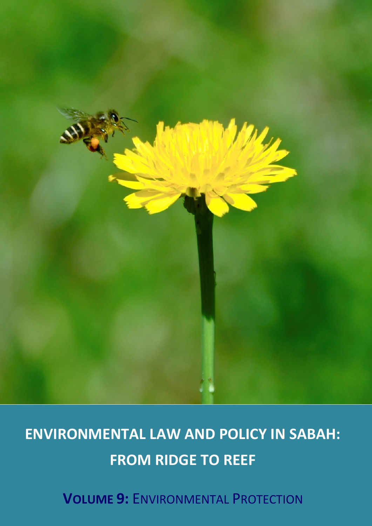

# **ENVIRONMENTAL LAW AND POLICY IN SABAH: FROM RIDGE TO REEF**

**VOLUME 9:** ENVIRONMENTAL PROTECTION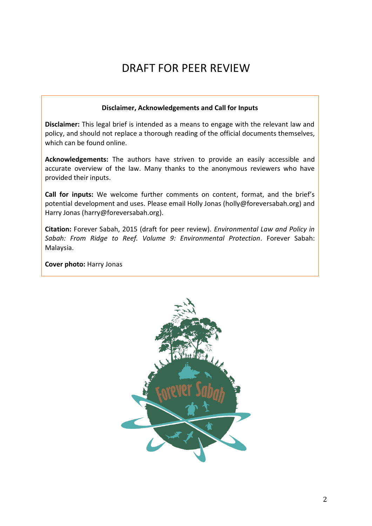## DRAFT FOR PEER REVIEW

#### **Disclaimer, Acknowledgements and Call for Inputs**

**Disclaimer:** This legal brief is intended as a means to engage with the relevant law and policy, and should not replace a thorough reading of the official documents themselves, which can be found online.

**Acknowledgements:** The authors have striven to provide an easily accessible and accurate overview of the law. Many thanks to the anonymous reviewers who have provided their inputs.

**Call for inputs:** We welcome further comments on content, format, and the brief's potential development and uses. Please email Holly Jonas (holly@foreversabah.org) and Harry Jonas (harry@foreversabah.org).

**Citation:** Forever Sabah, 2015 (draft for peer review). *Environmental Law and Policy in Sabah: From Ridge to Reef. Volume 9: Environmental Protection*. Forever Sabah: Malaysia.

**Cover photo:** Harry Jonas

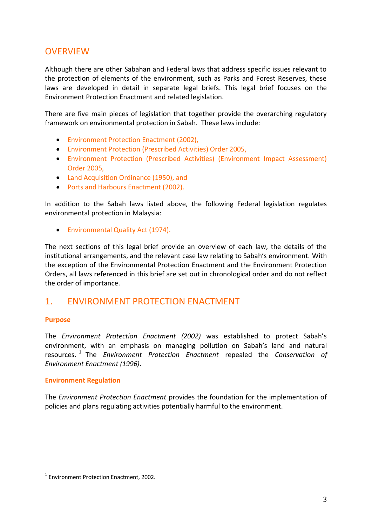## **OVERVIEW**

Although there are other Sabahan and Federal laws that address specific issues relevant to the protection of elements of the environment, such as Parks and Forest Reserves, these laws are developed in detail in separate legal briefs. This legal brief focuses on the Environment Protection Enactment and related legislation.

There are five main pieces of legislation that together provide the overarching regulatory framework on environmental protection in Sabah. These laws include:

- Environment Protection Enactment (2002),
- Environment Protection (Prescribed Activities) Order 2005,
- Environment Protection (Prescribed Activities) (Environment Impact Assessment) Order 2005,
- Land Acquisition Ordinance (1950), and
- Ports and Harbours Enactment (2002).

In addition to the Sabah laws listed above, the following Federal legislation regulates environmental protection in Malaysia:

Environmental Quality Act (1974).

The next sections of this legal brief provide an overview of each law, the details of the institutional arrangements, and the relevant case law relating to Sabah's environment. With the exception of the Environmental Protection Enactment and the Environment Protection Orders, all laws referenced in this brief are set out in chronological order and do not reflect the order of importance.

### 1. ENVIRONMENT PROTECTION ENACTMENT

#### **Purpose**

<u>.</u>

The *Environment Protection Enactment (2002)* was established to protect Sabah's environment, with an emphasis on managing pollution on Sabah's land and natural resources.<sup>1</sup> The *Environment Protection Enactment* repealed the *Conservation of Environment Enactment (1996)*.

#### **Environment Regulation**

The *Environment Protection Enactment* provides the foundation for the implementation of policies and plans regulating activities potentially harmful to the environment.

<sup>1</sup> Environment Protection Enactment, 2002.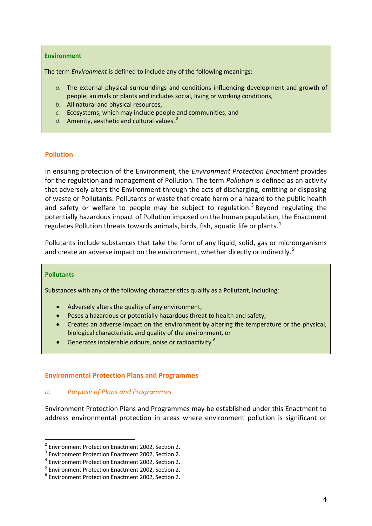#### **Environment**

The term *Environment* is defined to include any of the following meanings:

- *a.* The external physical surroundings and conditions influencing development and growth of people, animals or plants and includes social, living or working conditions,
- *b.* All natural and physical resources,
- *c.* Ecosystems, which may include people and communities, and
- *d.* Amenity, aesthetic and cultural values. <sup>2</sup>

#### **Pollution**

In ensuring protection of the Environment, the *Environment Protection Enactment* provides for the regulation and management of Pollution. The term *Pollution* is defined as an activity that adversely alters the Environment through the acts of discharging, emitting or disposing of waste or Pollutants. Pollutants or waste that create harm or a hazard to the public health and safety or welfare to people may be subject to regulation.<sup>3</sup> Beyond regulating the potentially hazardous impact of Pollution imposed on the human population, the Enactment regulates Pollution threats towards animals, birds, fish, aquatic life or plants.<sup>4</sup>

Pollutants include substances that take the form of any liquid, solid, gas or microorganisms and create an adverse impact on the environment, whether directly or indirectly.<sup>5</sup>

#### **Pollutants**

<u>.</u>

Substances with any of the following characteristics qualify as a Pollutant, including:

- Adversely alters the quality of any environment,
- Poses a hazardous or potentially hazardous threat to health and safety,
- Creates an adverse impact on the environment by altering the temperature or the physical, biological characteristic and quality of the environment, or
- Generates intolerable odours, noise or radioactivity.<sup>6</sup>

#### **Environmental Protection Plans and Programmes**

#### *a. Purpose of Plans and Programmes*

Environment Protection Plans and Programmes may be established under this Enactment to address environmental protection in areas where environment pollution is significant or

<sup>&</sup>lt;sup>2</sup> Environment Protection Enactment 2002, Section 2.

<sup>&</sup>lt;sup>3</sup> Environment Protection Enactment 2002, Section 2.

<sup>4</sup> Environment Protection Enactment 2002, Section 2.

<sup>5</sup> Environment Protection Enactment 2002, Section 2.

<sup>6</sup> Environment Protection Enactment 2002, Section 2.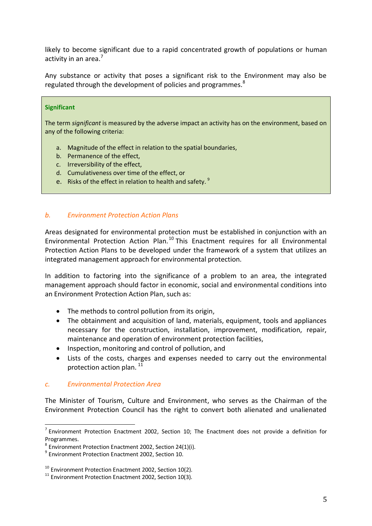likely to become significant due to a rapid concentrated growth of populations or human activity in an area.<sup>7</sup>

Any substance or activity that poses a significant risk to the Environment may also be regulated through the development of policies and programmes.<sup>8</sup>

#### **Significant**

The term *significant* is measured by the adverse impact an activity has on the environment, based on any of the following criteria:

- a. Magnitude of the effect in relation to the spatial boundaries,
- b. Permanence of the effect,
- c. Irreversibility of the effect,
- d. Cumulativeness over time of the effect, or
- e. Risks of the effect in relation to health and safety.<sup>9</sup>

#### *b. Environment Protection Action Plans*

Areas designated for environmental protection must be established in conjunction with an Environmental Protection Action Plan.<sup>10</sup> This Enactment requires for all Environmental Protection Action Plans to be developed under the framework of a system that utilizes an integrated management approach for environmental protection.

In addition to factoring into the significance of a problem to an area, the integrated management approach should factor in economic, social and environmental conditions into an Environment Protection Action Plan, such as:

- The methods to control pollution from its origin,
- The obtainment and acquisition of land, materials, equipment, tools and appliances necessary for the construction, installation, improvement, modification, repair, maintenance and operation of environment protection facilities,
- Inspection, monitoring and control of pollution, and
- Lists of the costs, charges and expenses needed to carry out the environmental protection action plan.<sup>11</sup>

#### *c. Environmental Protection Area*

<u>.</u>

The Minister of Tourism, Culture and Environment, who serves as the Chairman of the Environment Protection Council has the right to convert both alienated and unalienated

 $<sup>7</sup>$  Environment Protection Enactment 2002, Section 10; The Enactment does not provide a definition for</sup> Programmes.

 $^8$  Environment Protection Enactment 2002, Section 24(1)(i).

<sup>&</sup>lt;sup>9</sup> Environment Protection Enactment 2002, Section 10.

<sup>&</sup>lt;sup>10</sup> Environment Protection Enactment 2002, Section 10(2).

 $11$  Environment Protection Enactment 2002, Section 10(3).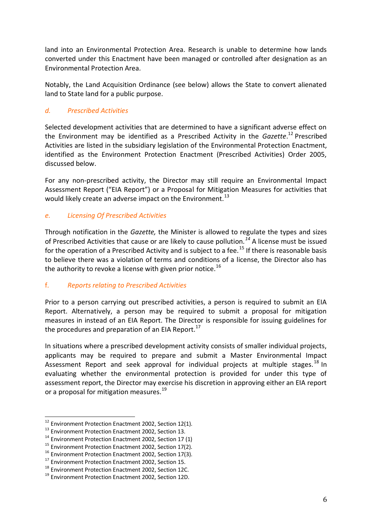land into an Environmental Protection Area. Research is unable to determine how lands converted under this Enactment have been managed or controlled after designation as an Environmental Protection Area.

Notably, the Land Acquisition Ordinance (see below) allows the State to convert alienated land to State land for a public purpose.

#### *d. Prescribed Activities*

Selected development activities that are determined to have a significant adverse effect on the Environment may be identified as a Prescribed Activity in the *Gazette*. <sup>12</sup> Prescribed Activities are listed in the subsidiary legislation of the Environmental Protection Enactment, identified as the Environment Protection Enactment (Prescribed Activities) Order 2005, discussed below.

For any non-prescribed activity, the Director may still require an Environmental Impact Assessment Report ("EIA Report") or a Proposal for Mitigation Measures for activities that would likely create an adverse impact on the Environment.<sup>13</sup>

#### *e. Licensing Of Prescribed Activities*

Through notification in the *Gazette,* the Minister is allowed to regulate the types and sizes of Prescribed Activities that cause or are likely to cause pollution*. <sup>14</sup>* A license must be issued for the operation of a Prescribed Activity and is subject to a fee.<sup>15</sup> If there is reasonable basis to believe there was a violation of terms and conditions of a license, the Director also has the authority to revoke a license with given prior notice.<sup>16</sup>

#### f. *Reports relating to Prescribed Activities*

Prior to a person carrying out prescribed activities, a person is required to submit an EIA Report. Alternatively, a person may be required to submit a proposal for mitigation measures in instead of an EIA Report. The Director is responsible for issuing guidelines for the procedures and preparation of an EIA Report. $^{17}$ 

In situations where a prescribed development activity consists of smaller individual projects, applicants may be required to prepare and submit a Master Environmental Impact Assessment Report and seek approval for individual projects at multiple stages.<sup>18</sup> In evaluating whether the environmental protection is provided for under this type of assessment report, the Director may exercise his discretion in approving either an EIA report or a proposal for mitigation measures.<sup>19</sup>

 $12$  Environment Protection Enactment 2002, Section 12(1).

<sup>&</sup>lt;sup>13</sup> Environment Protection Enactment 2002, Section 13.

<sup>&</sup>lt;sup>14</sup> Environment Protection Enactment 2002, Section 17 (1)

<sup>&</sup>lt;sup>15</sup> Environment Protection Enactment 2002, Section 17(2).

<sup>&</sup>lt;sup>16</sup> Environment Protection Enactment 2002, Section 17(3).

<sup>&</sup>lt;sup>17</sup> Environment Protection Enactment 2002, Section 15.

<sup>18</sup> Environment Protection Enactment 2002, Section 12C.

<sup>19</sup> Environment Protection Enactment 2002, Section 12D.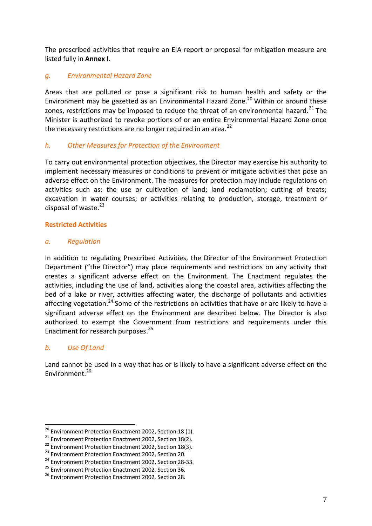The prescribed activities that require an EIA report or proposal for mitigation measure are listed fully in **Annex I**.

#### *g. Environmental Hazard Zone*

Areas that are polluted or pose a significant risk to human health and safety or the Environment may be gazetted as an Environmental Hazard Zone.<sup>20</sup> Within or around these zones, restrictions may be imposed to reduce the threat of an environmental hazard.<sup>21</sup> The Minister is authorized to revoke portions of or an entire Environmental Hazard Zone once the necessary restrictions are no longer required in an area. $^{22}$ 

#### *h. Other Measures for Protection of the Environment*

To carry out environmental protection objectives, the Director may exercise his authority to implement necessary measures or conditions to prevent or mitigate activities that pose an adverse effect on the Environment. The measures for protection may include regulations on activities such as: the use or cultivation of land; land reclamation; cutting of treats; excavation in water courses; or activities relating to production, storage, treatment or disposal of waste. $^{23}$ 

#### **Restricted Activities**

#### *a. Regulation*

In addition to regulating Prescribed Activities, the Director of the Environment Protection Department ("the Director") may place requirements and restrictions on any activity that creates a significant adverse effect on the Environment. The Enactment regulates the activities, including the use of land, activities along the coastal area, activities affecting the bed of a lake or river, activities affecting water, the discharge of pollutants and activities affecting vegetation.<sup>24</sup> Some of the restrictions on activities that have or are likely to have a significant adverse effect on the Environment are described below. The Director is also authorized to exempt the Government from restrictions and requirements under this Enactment for research purposes. 25

#### *b. Use Of Land*

<u>.</u>

Land cannot be used in a way that has or is likely to have a significant adverse effect on the Environment.<sup>26</sup>

<sup>&</sup>lt;sup>20</sup> Environment Protection Enactment 2002, Section 18 (1).

<sup>21</sup> Environment Protection Enactment 2002, Section 18(2).

<sup>&</sup>lt;sup>22</sup> Environment Protection Enactment 2002, Section 18(3).

<sup>&</sup>lt;sup>23</sup> Environment Protection Enactment 2002, Section 20.

<sup>&</sup>lt;sup>24</sup> Environment Protection Enactment 2002, Section 28-33.

<sup>&</sup>lt;sup>25</sup> Environment Protection Enactment 2002, Section 36.

<sup>&</sup>lt;sup>26</sup> Environment Protection Enactment 2002, Section 28.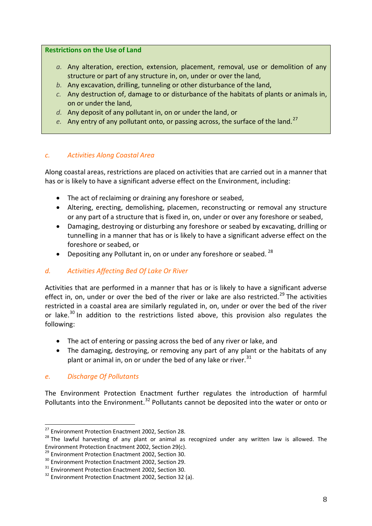#### **Restrictions on the Use of Land**

- *a.* Any alteration, erection, extension, placement, removal, use or demolition of any structure or part of any structure in, on, under or over the land,
- *b.* Any excavation, drilling, tunneling or other disturbance of the land,
- *c.* Any destruction of, damage to or disturbance of the habitats of plants or animals in, on or under the land,
- *d.* Any deposit of any pollutant in, on or under the land, or
- e. Any entry of any pollutant onto, or passing across, the surface of the land.<sup>27</sup>

#### *c. Activities Along Coastal Area*

Along coastal areas, restrictions are placed on activities that are carried out in a manner that has or is likely to have a significant adverse effect on the Environment, including:

- The act of reclaiming or draining any foreshore or seabed,
- Altering, erecting, demolishing, placemen, reconstructing or removal any structure or any part of a structure that is fixed in, on, under or over any foreshore or seabed,
- Damaging, destroying or disturbing any foreshore or seabed by excavating, drilling or tunnelling in a manner that has or is likely to have a significant adverse effect on the foreshore or seabed, or
- Depositing any Pollutant in, on or under any foreshore or seabed.  $^{28}$

#### *d. Activities Affecting Bed Of Lake Or River*

Activities that are performed in a manner that has or is likely to have a significant adverse effect in, on, under or over the bed of the river or lake are also restricted.<sup>29</sup> The activities restricted in a coastal area are similarly regulated in, on, under or over the bed of the river or lake.<sup>30</sup> In addition to the restrictions listed above, this provision also regulates the following:

- The act of entering or passing across the bed of any river or lake, and
- The damaging, destroying, or removing any part of any plant or the habitats of any plant or animal in, on or under the bed of any lake or river.  $31$

#### *e. Discharge Of Pollutants*

<u>.</u>

The Environment Protection Enactment further regulates the introduction of harmful Pollutants into the Environment.<sup>32</sup> Pollutants cannot be deposited into the water or onto or

<sup>&</sup>lt;sup>27</sup> Environment Protection Enactment 2002, Section 28.

<sup>&</sup>lt;sup>28</sup> The lawful harvesting of any plant or animal as recognized under any written law is allowed. The Environment Protection Enactment 2002, Section 29(c).

<sup>&</sup>lt;sup>29</sup> Environment Protection Enactment 2002, Section 30.

<sup>&</sup>lt;sup>30</sup> Environment Protection Enactment 2002, Section 29.

<sup>&</sup>lt;sup>31</sup> Environment Protection Enactment 2002, Section 30.

<sup>&</sup>lt;sup>32</sup> Environment Protection Enactment 2002, Section 32 (a).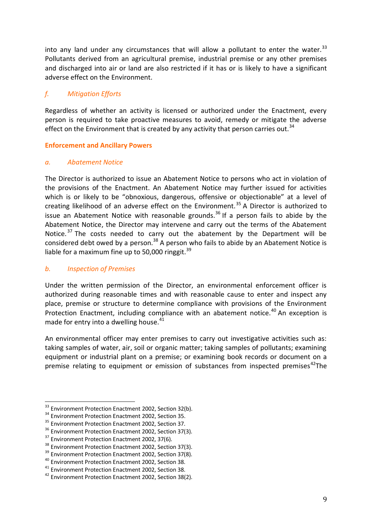into any land under any circumstances that will allow a pollutant to enter the water.<sup>33</sup> Pollutants derived from an agricultural premise, industrial premise or any other premises and discharged into air or land are also restricted if it has or is likely to have a significant adverse effect on the Environment.

#### *f. Mitigation Efforts*

Regardless of whether an activity is licensed or authorized under the Enactment, every person is required to take proactive measures to avoid, remedy or mitigate the adverse effect on the Environment that is created by any activity that person carries out.<sup>34</sup>

#### **Enforcement and Ancillary Powers**

#### *a. Abatement Notice*

The Director is authorized to issue an Abatement Notice to persons who act in violation of the provisions of the Enactment. An Abatement Notice may further issued for activities which is or likely to be "obnoxious, dangerous, offensive or objectionable" at a level of creating likelihood of an adverse effect on the Environment.<sup>35</sup> A Director is authorized to issue an Abatement Notice with reasonable grounds.<sup>36</sup> If a person fails to abide by the Abatement Notice, the Director may intervene and carry out the terms of the Abatement Notice.<sup>37</sup> The costs needed to carry out the abatement by the Department will be considered debt owed by a person.<sup>38</sup> A person who fails to abide by an Abatement Notice is liable for a maximum fine up to 50,000 ringgit. $39$ 

#### *b. Inspection of Premises*

<u>.</u>

Under the written permission of the Director, an environmental enforcement officer is authorized during reasonable times and with reasonable cause to enter and inspect any place, premise or structure to determine compliance with provisions of the Environment Protection Enactment, including compliance with an abatement notice.<sup>40</sup> An exception is made for entry into a dwelling house.<sup>41</sup>

An environmental officer may enter premises to carry out investigative activities such as: taking samples of water, air, soil or organic matter; taking samples of pollutants; examining equipment or industrial plant on a premise; or examining book records or document on a premise relating to equipment or emission of substances from inspected premises<sup>42</sup>The

<sup>&</sup>lt;sup>33</sup> Environment Protection Enactment 2002, Section 32(b).

<sup>&</sup>lt;sup>34</sup> Environment Protection Enactment 2002, Section 35.

<sup>&</sup>lt;sup>35</sup> Environment Protection Enactment 2002, Section 37.

<sup>&</sup>lt;sup>36</sup> Environment Protection Enactment 2002, Section 37(3).

<sup>&</sup>lt;sup>37</sup> Environment Protection Enactment 2002, 37(6).

<sup>&</sup>lt;sup>38</sup> Environment Protection Enactment 2002, Section 37(3).

<sup>&</sup>lt;sup>39</sup> Environment Protection Enactment 2002, Section 37(8).

<sup>40</sup> Environment Protection Enactment 2002, Section 38.

<sup>41</sup> Environment Protection Enactment 2002, Section 38.

<sup>42</sup> Environment Protection Enactment 2002, Section 38(2).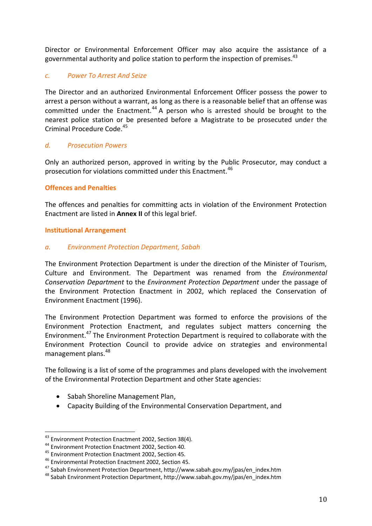Director or Environmental Enforcement Officer may also acquire the assistance of a governmental authority and police station to perform the inspection of premises.<sup>43</sup>

#### *c. Power To Arrest And Seize*

The Director and an authorized Environmental Enforcement Officer possess the power to arrest a person without a warrant, as long as there is a reasonable belief that an offense was committed under the Enactment.<sup>44</sup> A person who is arrested should be brought to the nearest police station or be presented before a Magistrate to be prosecuted under the Criminal Procedure Code.<sup>45</sup>

#### *d. Prosecution Powers*

Only an authorized person, approved in writing by the Public Prosecutor, may conduct a prosecution for violations committed under this Enactment.<sup>46</sup>

#### **Offences and Penalties**

The offences and penalties for committing acts in violation of the Environment Protection Enactment are listed in **Annex II** of this legal brief.

#### **Institutional Arrangement**

#### *a. Environment Protection Department, Sabah*

The Environment Protection Department is under the direction of the Minister of Tourism, Culture and Environment. The Department was renamed from the *Environmental Conservation Department* to the *Environment Protection Department* under the passage of the Environment Protection Enactment in 2002, which replaced the Conservation of Environment Enactment (1996).

The Environment Protection Department was formed to enforce the provisions of the Environment Protection Enactment, and regulates subject matters concerning the Environment. <sup>47</sup> The Environment Protection Department is required to collaborate with the Environment Protection Council to provide advice on strategies and environmental management plans.<sup>48</sup>

The following is a list of some of the programmes and plans developed with the involvement of the Environmental Protection Department and other State agencies:

- Sabah Shoreline Management Plan,
- Capacity Building of the Environmental Conservation Department, and

<sup>&</sup>lt;sup>43</sup> Environment Protection Enactment 2002, Section 38(4).

<sup>44</sup> Environment Protection Enactment 2002, Section 40.

<sup>45</sup> Environment Protection Enactment 2002, Section 45.

<sup>46</sup> Environmental Protection Enactment 2002, Section 45.

<sup>47</sup> Sabah Environment Protection Department, http://www.sabah.gov.my/jpas/en\_index.htm

<sup>48</sup> Sabah Environment Protection Department, http://www.sabah.gov.my/jpas/en\_index.htm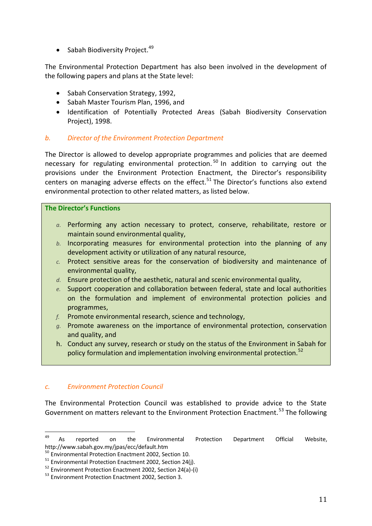$\bullet$  Sabah Biodiversity Project.<sup>49</sup>

The Environmental Protection Department has also been involved in the development of the following papers and plans at the State level:

- Sabah Conservation Strategy, 1992,
- Sabah Master Tourism Plan, 1996, and
- Identification of Potentially Protected Areas (Sabah Biodiversity Conservation Project), 1998.

#### *b. Director of the Environment Protection Department*

The Director is allowed to develop appropriate programmes and policies that are deemed necessary for regulating environmental protection.<sup>50</sup> In addition to carrying out the provisions under the Environment Protection Enactment, the Director's responsibility centers on managing adverse effects on the effect.<sup>51</sup> The Director's functions also extend environmental protection to other related matters, as listed below.

#### **The Director's Functions**

- *a.* Performing any action necessary to protect, conserve, rehabilitate, restore or maintain sound environmental quality,
- *b.* Incorporating measures for environmental protection into the planning of any development activity or utilization of any natural resource,
- *c.* Protect sensitive areas for the conservation of biodiversity and maintenance of environmental quality,
- *d.* Ensure protection of the aesthetic, natural and scenic environmental quality,
- *e.* Support cooperation and collaboration between federal, state and local authorities on the formulation and implement of environmental protection policies and programmes,
- *f.* Promote environmental research, science and technology,
- *g.* Promote awareness on the importance of environmental protection, conservation and quality, and
- h. Conduct any survey, research or study on the status of the Environment in Sabah for policy formulation and implementation involving environmental protection.<sup>52</sup>

#### *c. Environment Protection Council*

The Environmental Protection Council was established to provide advice to the State Government on matters relevant to the Environment Protection Enactment.<sup>53</sup> The following

<sup>49</sup> <sup>49</sup> As reported on the Environmental Protection Department Official Website, http://www.sabah.gov.my/jpas/ecc/default.htm

<sup>&</sup>lt;sup>50</sup> Environmental Protection Enactment 2002, Section 10.

<sup>51</sup> Environmental Protection Enactment 2002, Section 24(j).

<sup>52</sup> Environment Protection Enactment 2002, Section 24(a)-(i)

<sup>53</sup> Environment Protection Enactment 2002, Section 3.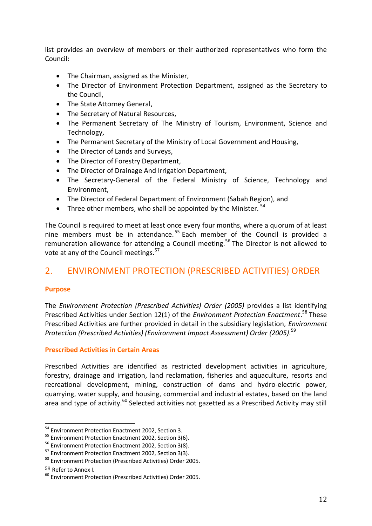list provides an overview of members or their authorized representatives who form the Council:

- The Chairman, assigned as the Minister,
- The Director of Environment Protection Department, assigned as the Secretary to the Council,
- The State Attorney General,
- The Secretary of Natural Resources,
- The Permanent Secretary of The Ministry of Tourism, Environment, Science and Technology,
- The Permanent Secretary of the Ministry of Local Government and Housing,
- The Director of Lands and Surveys,
- The Director of Forestry Department,
- The Director of Drainage And Irrigation Department,
- The Secretary-General of the Federal Ministry of Science, Technology and Environment,
- The Director of Federal Department of Environment (Sabah Region), and
- Three other members, who shall be appointed by the Minister.  $54$

The Council is required to meet at least once every four months, where a quorum of at least nine members must be in attendance.<sup>55</sup> Each member of the Council is provided a remuneration allowance for attending a Council meeting.<sup>56</sup> The Director is not allowed to vote at any of the Council meetings.<sup>57</sup>

## 2. ENVIRONMENT PROTECTION (PRESCRIBED ACTIVITIES) ORDER

#### **Purpose**

The *Environment Protection (Prescribed Activities) Order (2005)* provides a list identifying Prescribed Activities under Section 12(1) of the *Environment Protection Enactment*. <sup>58</sup> These Prescribed Activities are further provided in detail in the subsidiary legislation, *Environment Protection (Prescribed Activities) (Environment Impact Assessment) Order (2005)*. 59

#### **Prescribed Activities in Certain Areas**

Prescribed Activities are identified as restricted development activities in agriculture, forestry, drainage and irrigation, land reclamation, fisheries and aquaculture, resorts and recreational development, mining, construction of dams and hydro-electric power, quarrying, water supply, and housing, commercial and industrial estates, based on the land area and type of activity.<sup>60</sup> Selected activities not gazetted as a Prescribed Activity may still

<sup>59</sup> Refer to Annex I.

<sup>&</sup>lt;sup>54</sup> Environment Protection Enactment 2002, Section 3.

<sup>&</sup>lt;sup>55</sup> Environment Protection Enactment 2002, Section 3(6).

<sup>56</sup> Environment Protection Enactment 2002, Section 3(8).

<sup>57</sup> Environment Protection Enactment 2002, Section 3(3).

<sup>58</sup> Environment Protection (Prescribed Activities) Order 2005.

<sup>60</sup> Environment Protection (Prescribed Activities) Order 2005.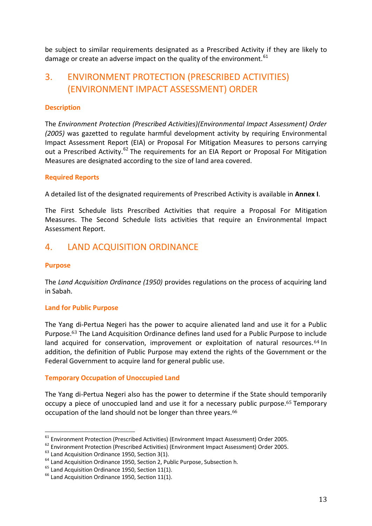be subject to similar requirements designated as a Prescribed Activity if they are likely to damage or create an adverse impact on the quality of the environment.  $61$ 

## 3. ENVIRONMENT PROTECTION (PRESCRIBED ACTIVITIES) (ENVIRONMENT IMPACT ASSESSMENT) ORDER

#### **Description**

The *Environment Protection (Prescribed Activities)(Environmental Impact Assessment) Order (2005)* was gazetted to regulate harmful development activity by requiring Environmental Impact Assessment Report (EIA) or Proposal For Mitigation Measures to persons carrying out a Prescribed Activity.<sup>62</sup> The requirements for an EIA Report or Proposal For Mitigation Measures are designated according to the size of land area covered.

#### **Required Reports**

A detailed list of the designated requirements of Prescribed Activity is available in **Annex I**.

The First Schedule lists Prescribed Activities that require a Proposal For Mitigation Measures. The Second Schedule lists activities that require an Environmental Impact Assessment Report.

## 4. LAND ACQUISITION ORDINANCE

#### **Purpose**

<u>.</u>

The *Land Acquisition Ordinance (1950)* provides regulations on the process of acquiring land in Sabah.

#### **Land for Public Purpose**

The Yang di-Pertua Negeri has the power to acquire alienated land and use it for a Public Purpose.<sup>63</sup> The Land Acquisition Ordinance defines land used for a Public Purpose to include land acquired for conservation, improvement or exploitation of natural resources.<sup>64</sup> In addition, the definition of Public Purpose may extend the rights of the Government or the Federal Government to acquire land for general public use.

#### **Temporary Occupation of Unoccupied Land**

The Yang di-Pertua Negeri also has the power to determine if the State should temporarily occupy a piece of unoccupied land and use it for a necessary public purpose. <sup>65</sup> Temporary occupation of the land should not be longer than three years.<sup>66</sup>

 $61$  Environment Protection (Prescribed Activities) (Environment Impact Assessment) Order 2005.

<sup>&</sup>lt;sup>62</sup> Environment Protection (Prescribed Activities) (Environment Impact Assessment) Order 2005.

 $63$  Land Acquisition Ordinance 1950, Section 3(1).

<sup>&</sup>lt;sup>64</sup> Land Acquisition Ordinance 1950, Section 2, Public Purpose, Subsection h.

 $<sup>65</sup>$  Land Acquisition Ordinance 1950, Section 11(1).</sup>

 $66$  Land Acquisition Ordinance 1950, Section 11(1).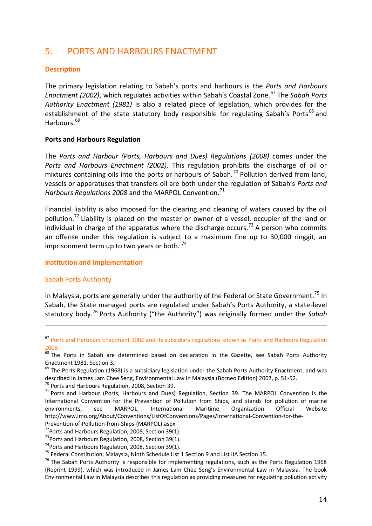## 5. PORTS AND HARBOURS ENACTMENT

#### **Description**

The primary legislation relating to Sabah's ports and harbours is the *Ports and Harbours Enactment (2002)*, which regulates activities within Sabah's Coastal Zone.<sup>67</sup> The *Sabah Ports Authority Enactment (1981)* is also a related piece of legislation, which provides for the establishment of the state statutory body responsible for regulating Sabah's Ports<sup>68</sup> and Harbours.<sup>69</sup>

#### **Ports and Harbours Regulation**

The *Ports and Harbour (Ports, Harbours and Dues) Regulations (2008)* comes under the *Ports and Harbours Enactment (2002)*. This regulation prohibits the discharge of oil or mixtures containing oils into the ports or harbours of Sabah.<sup>70</sup> Pollution derived from land, vessels or apparatuses that transfers oil are both under the regulation of Sabah's *Ports and*  Harbours Regulations 2008 and the MARPOL Convention.<sup>71</sup>

Financial liability is also imposed for the clearing and cleaning of waters caused by the oil pollution.<sup>72</sup> Liability is placed on the master or owner of a vessel, occupier of the land or individual in charge of the apparatus where the discharge occurs.<sup>73</sup> A person who commits an offense under this regulation is subject to a maximum fine up to 30,000 ringgit, an imprisonment term up to two years or both.  $74$ 

#### **Institution and Implementation**

#### Sabah Ports Authority

<u>.</u>

In Malaysia, ports are generally under the authority of the Federal or State Government.<sup>75</sup> In Sabah, the State managed ports are regulated under Sabah's Ports Authority, a state-level statutory body.<sup>76</sup> Ports Authority ("the Authority") was originally formed under the *Sabah* 

 $69$  The Ports Regulation (1968) is a subsidiary legislation under the Sabah Ports Authority Enactment, and was described in James Lam Chee Seng, Environmental Law In Malaysia (Borneo Edition) 2007, p. 51-52.

 $73$ Ports and Harbours Regulation, 2008, Section 39(1).

<sup>67</sup> Ports and Harbours Enactment 2002 and its subsidiary regulations known as Ports and Harbours Regulation 2008.

<sup>&</sup>lt;sup>68</sup> The Ports in Sabah are determined based on declaration in the Gazette, see Sabah Ports Authority Enactment 1981, Section 3.

<sup>70</sup> Ports and Harbours Regulation, 2008, Section 39.

 $71$  Ports and Harbour (Ports, Harbours and Dues) Regulation, Section 39. The MARPOL Convention is the International Convention for the Prevention of Pollution from Ships, and stands for pollution of marine environments, see MARPOL, International Maritime Organization Official Website http://www.imo.org/About/Conventions/ListOfConventions/Pages/International-Convention-for-the-Prevention-of-Pollution-from-Ships-(MARPOL).aspx

 $72$ Ports and Harbours Regulation, 2008, Section 39(1).

 $74$ Ports and Harbours Regulation, 2008, Section 39(1).

<sup>75</sup> Federal Constitution, Malaysia, Ninth Schedule List 1 Section 9 and List IIA Section 15.

<sup>&</sup>lt;sup>76</sup> The Sabah Ports Authority is responsible for implementing regulations, such as the Ports Regulation 1968 (Reprint 1999), which was introduced in James Lam Chee Seng's Environmental Law in Malaysia. The book Environmental Law in Malaysia describes this regulation as providing measures for regulating pollution activity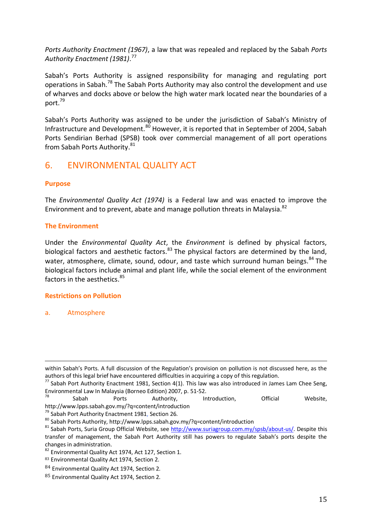*Ports Authority Enactment (1967)*, a law that was repealed and replaced by the Sabah *Ports Authority Enactment (1981)*. 77

Sabah's Ports Authority is assigned responsibility for managing and regulating port operations in Sabah.<sup>78</sup> The Sabah Ports Authority may also control the development and use of wharves and docks above or below the high water mark located near the boundaries of a port.<sup>79</sup>

Sabah's Ports Authority was assigned to be under the jurisdiction of Sabah's Ministry of Infrastructure and Development.<sup>80</sup> However, it is reported that in September of 2004, Sabah Ports Sendirian Berhad (SPSB) took over commercial management of all port operations from Sabah Ports Authority.<sup>81</sup>

## 6. ENVIRONMENTAL QUALITY ACT

#### **Purpose**

The *Environmental Quality Act (1974)* is a Federal law and was enacted to improve the Environment and to prevent, abate and manage pollution threats in Malaysia.<sup>82</sup>

#### **The Environment**

Under the *Environmental Quality Act*, the *Environment* is defined by physical factors, biological factors and aesthetic factors.<sup>83</sup> The physical factors are determined by the land, water, atmosphere, climate, sound, odour, and taste which surround human beings.<sup>84</sup> The biological factors include animal and plant life, while the social element of the environment factors in the aesthetics  $85$ 

#### **Restrictions on Pollution**

a. Atmosphere

within Sabah's Ports. A full discussion of the Regulation's provision on pollution is not discussed here, as the authors of this legal brief have encountered difficulties in acquiring a copy of this regulation.

 $^{77}$  Sabah Port Authority Enactment 1981, Section 4(1). This law was also introduced in James Lam Chee Seng, Environmental Law In Malaysia (Borneo Edition) 2007, p. 51-52.

<sup>&</sup>lt;sup>78</sup> Sabah Ports Authority, Introduction, Official Website, http://www.lpps.sabah.gov.my/?q=content/introduction

<sup>79</sup> Sabah Port Authority Enactment 1981, Section 26.

 $80$  Sabah Ports Authority, http://www.lpps.sabah.gov.my/?q=content/introduction

<sup>&</sup>lt;sup>81</sup> Sabah Ports, Suria Group Official Website, see [http://www.suriagroup.com.my/spsb/about-us/.](http://www.suriagroup.com.my/spsb/about-us/) Despite this transfer of management, the Sabah Port Authority still has powers to regulate Sabah's ports despite the changes in administration.

<sup>82</sup> Environmental Quality Act 1974, Act 127, Section 1.

<sup>83</sup> Environmental Quality Act 1974, Section 2.

<sup>84</sup> Environmental Quality Act 1974, Section 2.

<sup>85</sup> Environmental Quality Act 1974, Section 2.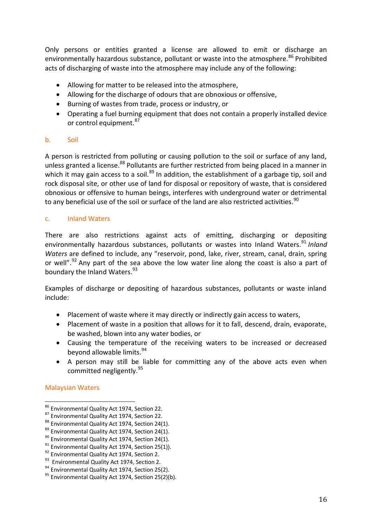Only persons or entities granted a license are allowed to emit or discharge an environmentally hazardous substance, pollutant or waste into the atmosphere.<sup>86</sup> Prohibited acts of discharging of waste into the atmosphere may include any of the following:

- Allowing for matter to be released into the atmosphere,
- Allowing for the discharge of odours that are obnoxious or offensive,
- Burning of wastes from trade, process or industry, or
- Operating a fuel burning equipment that does not contain a properly installed device or control equipment.<sup>87</sup>

#### b. Soil

A person is restricted from polluting or causing pollution to the soil or surface of any land, unless granted a license.<sup>88</sup> Pollutants are further restricted from being placed in a manner in which it may gain access to a soil.<sup>89</sup> In addition, the establishment of a garbage tip, soil and rock disposal site, or other use of land for disposal or repository of waste, that is considered obnoxious or offensive to human beings, interferes with underground water or detrimental to any beneficial use of the soil or surface of the land are also restricted activities.<sup>90</sup>

#### c. Inland Waters

There are also restrictions against acts of emitting, discharging or depositing environmentally hazardous substances, pollutants or wastes into Inland Waters.<sup>91</sup> Inland *Waters* are defined to include, any "reservoir, pond, lake, river, stream, canal, drain, spring or well".<sup>92</sup> Any part of the sea above the low water line along the coast is also a part of boundary the Inland Waters.<sup>93</sup>

Examples of discharge or depositing of hazardous substances, pollutants or waste inland include:

- Placement of waste where it may directly or indirectly gain access to waters,
- Placement of waste in a position that allows for it to fall, descend, drain, evaporate, be washed, blown into any water bodies, or
- Causing the temperature of the receiving waters to be increased or decreased beyond allowable limits.<sup>94</sup>
- A person may still be liable for committing any of the above acts even when committed negligently.<sup>95</sup>

#### Malaysian Waters

<sup>&</sup>lt;sup>86</sup> Environmental Quality Act 1974, Section 22.

<sup>87</sup> Environmental Quality Act 1974, Section 22.

<sup>88</sup> Environmental Quality Act 1974, Section 24(1).

<sup>89</sup> Environmental Quality Act 1974, Section 24(1).

<sup>&</sup>lt;sup>90</sup> Environmental Quality Act 1974, Section 24(1).

 $91$  Environmental Quality Act 1974, Section 25(1)).

<sup>&</sup>lt;sup>92</sup> Environmental Quality Act 1974, Section 2.

<sup>93</sup> Environmental Quality Act 1974, Section 2.

<sup>&</sup>lt;sup>94</sup> Environmental Quality Act 1974, Section 25(2).

 $95$  Environmental Quality Act 1974, Section 25(2)(b).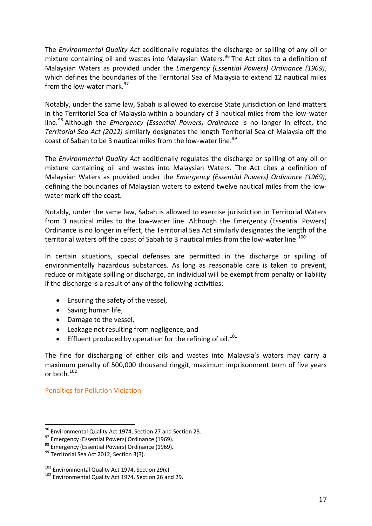The *Environmental Quality Act* additionally regulates the discharge or spilling of any oil or mixture containing oil and wastes into Malaysian Waters. <sup>96</sup> The Act cites to a definition of Malaysian Waters as provided under the *Emergency (Essential Powers) Ordinance (1969)*, which defines the boundaries of the Territorial Sea of Malaysia to extend 12 nautical miles from the low-water mark.<sup>97</sup>

Notably, under the same law, Sabah is allowed to exercise State jurisdiction on land matters in the Territorial Sea of Malaysia within a boundary of 3 nautical miles from the low-water line.<sup>98</sup> Although the *Emergency (Essential Powers) Ordinance* is no longer in effect, the *Territorial Sea Act (2012)* similarly designates the length Territorial Sea of Malaysia off the coast of Sabah to be 3 nautical miles from the low-water line.<sup>99</sup>

The *Environmental Quality Act* additionally regulates the discharge or spilling of any oil or mixture containing oil and wastes into Malaysian Waters. The Act cites a definition of Malaysian Waters as provided under the *Emergency (Essential Powers) Ordinance (1969)*, defining the boundaries of Malaysian waters to extend twelve nautical miles from the lowwater mark off the coast.

Notably, under the same law, Sabah is allowed to exercise jurisdiction in Territorial Waters from 3 nautical miles to the low-water line. Although the Emergency (Essential Powers) Ordinance is no longer in effect, the Territorial Sea Act similarly designates the length of the territorial waters off the coast of Sabah to 3 nautical miles from the low-water line.<sup>100</sup>

In certain situations, special defenses are permitted in the discharge or spilling of environmentally hazardous substances. As long as reasonable care is taken to prevent, reduce or mitigate spilling or discharge, an individual will be exempt from penalty or liability if the discharge is a result of any of the following activities:

- Ensuring the safety of the vessel,
- Saving human life,
- Damage to the vessel,
- Leakage not resulting from negligence, and
- **•** Effluent produced by operation for the refining of oil.<sup>101</sup>

The fine for discharging of either oils and wastes into Malaysia's waters may carry a maximum penalty of 500,000 thousand ringgit, maximum imprisonment term of five years or both  $102$ 

Penalties for Pollution Violation

<sup>96</sup> Environmental Quality Act 1974, Section 27 and Section 28.

<sup>97</sup> Emergency (Essential Powers) Ordinance (1969).

<sup>98</sup> Emergency (Essential Powers) Ordinance (1969).

<sup>&</sup>lt;sup>99</sup> Territorial Sea Act 2012, Section 3(3).

 $101$  Environmental Quality Act 1974, Section 29(c)

<sup>102</sup> Environmental Quality Act 1974, Section 26 and 29.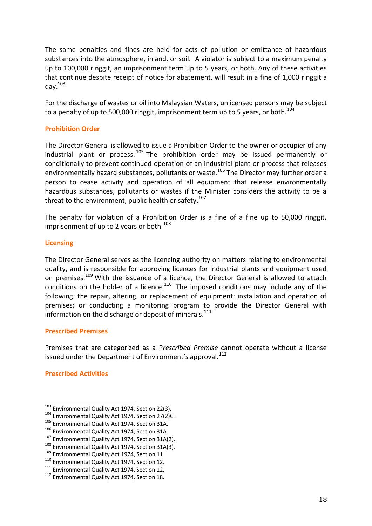The same penalties and fines are held for acts of pollution or emittance of hazardous substances into the atmosphere, inland, or soil. A violator is subject to a maximum penalty up to 100,000 ringgit, an imprisonment term up to 5 years, or both. Any of these activities that continue despite receipt of notice for abatement, will result in a fine of 1,000 ringgit a day. 103

For the discharge of wastes or oil into Malaysian Waters, unlicensed persons may be subject to a penalty of up to 500,000 ringgit, imprisonment term up to 5 years, or both. $^{104}$ 

#### **Prohibition Order**

The Director General is allowed to issue a Prohibition Order to the owner or occupier of any industrial plant or process.  $105$  The prohibition order may be issued permanently or conditionally to prevent continued operation of an industrial plant or process that releases environmentally hazard substances, pollutants or waste.<sup>106</sup> The Director may further order a person to cease activity and operation of all equipment that release environmentally hazardous substances, pollutants or wastes if the Minister considers the activity to be a threat to the environment, public health or safety.<sup>107</sup>

The penalty for violation of a Prohibition Order is a fine of a fine up to 50,000 ringgit, imprisonment of up to 2 years or both.<sup>108</sup>

#### **Licensing**

The Director General serves as the licencing authority on matters relating to environmental quality, and is responsible for approving licences for industrial plants and equipment used on premises.<sup>109</sup> With the issuance of a licence, the Director General is allowed to attach conditions on the holder of a licence. $110$  The imposed conditions may include any of the following: the repair, altering, or replacement of equipment; installation and operation of premises; or conducting a monitoring program to provide the Director General with information on the discharge or deposit of minerals.<sup>111</sup>

#### **Prescribed Premises**

Premises that are categorized as a P*rescribed Premise* cannot operate without a license issued under the Department of Environment's approval.<sup>112</sup>

#### **Prescribed Activities**

 $103$  Environmental Quality Act 1974. Section 22(3).

<sup>104</sup> Environmental Quality Act 1974, Section 27(2)C.

<sup>&</sup>lt;sup>105</sup> Environmental Quality Act 1974, Section 31A.

<sup>106</sup> Environmental Quality Act 1974, Section 31A.

<sup>&</sup>lt;sup>107</sup> Environmental Quality Act 1974, Section 31A(2).

<sup>&</sup>lt;sup>108</sup> Environmental Quality Act 1974, Section 31A(3).

<sup>109</sup> Environmental Quality Act 1974, Section 11.

<sup>110</sup> Environmental Quality Act 1974, Section 12.

<sup>&</sup>lt;sup>111</sup> Environmental Quality Act 1974, Section 12.

<sup>&</sup>lt;sup>112</sup> Environmental Quality Act 1974, Section 18.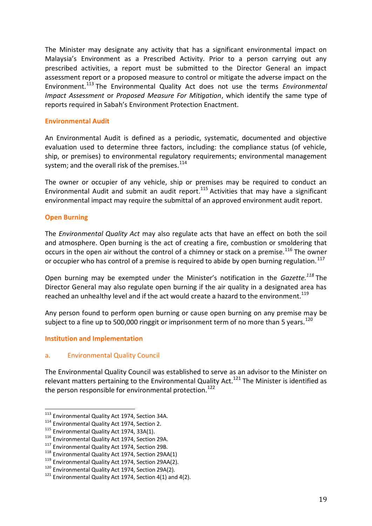The Minister may designate any activity that has a significant environmental impact on Malaysia's Environment as a Prescribed Activity. Prior to a person carrying out any prescribed activities, a report must be submitted to the Director General an impact assessment report or a proposed measure to control or mitigate the adverse impact on the Environment.<sup>113</sup> The Environmental Quality Act does not use the terms *Environmental Impact Assessment* or *Proposed Measure For Mitigation*, which identify the same type of reports required in Sabah's Environment Protection Enactment.

#### **Environmental Audit**

An Environmental Audit is defined as a periodic, systematic, documented and objective evaluation used to determine three factors, including: the compliance status (of vehicle, ship, or premises) to environmental regulatory requirements; environmental management system; and the overall risk of the premises. $^{114}$ 

The owner or occupier of any vehicle, ship or premises may be required to conduct an Environmental Audit and submit an audit report.<sup>115</sup> Activities that may have a significant environmental impact may require the submittal of an approved environment audit report.

#### **Open Burning**

The *Environmental Quality Act* may also regulate acts that have an effect on both the soil and atmosphere. Open burning is the act of creating a fire, combustion or smoldering that occurs in the open air without the control of a chimney or stack on a premise.<sup>116</sup> The owner or occupier who has control of a premise is required to abide by open burning regulation.<sup>117</sup>

Open burning may be exempted under the Minister's notification in the *Gazette.<sup>118</sup>* The Director General may also regulate open burning if the air quality in a designated area has reached an unhealthy level and if the act would create a hazard to the environment.<sup>119</sup>

Any person found to perform open burning or cause open burning on any premise may be subject to a fine up to 500,000 ringgit or imprisonment term of no more than 5 years.<sup>120</sup>

#### **Institution and Implementation**

#### a. Environmental Quality Council

The Environmental Quality Council was established to serve as an advisor to the Minister on relevant matters pertaining to the Environmental Quality Act.<sup>121</sup> The Minister is identified as the person responsible for environmental protection.<sup>122</sup>

<sup>&</sup>lt;sup>113</sup> Environmental Quality Act 1974, Section 34A.

<sup>&</sup>lt;sup>114</sup> Environmental Quality Act 1974, Section 2.

<sup>&</sup>lt;sup>115</sup> Environmental Quality Act 1974, 33A(1).

<sup>116</sup> Environmental Quality Act 1974, Section 29A.

<sup>&</sup>lt;sup>117</sup> Environmental Quality Act 1974, Section 29B.

<sup>118</sup> Environmental Quality Act 1974, Section 29AA(1)

<sup>&</sup>lt;sup>119</sup> Environmental Quality Act 1974, Section 29AA(2).

<sup>&</sup>lt;sup>120</sup> Environmental Quality Act 1974, Section 29A(2).

 $121$  Environmental Quality Act 1974, Section 4(1) and 4(2).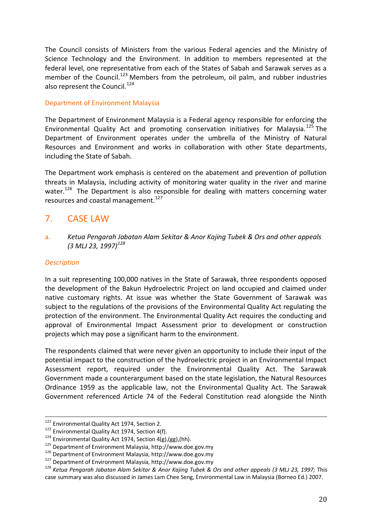The Council consists of Ministers from the various Federal agencies and the Ministry of Science Technology and the Environment. In addition to members represented at the federal level, one representative from each of the States of Sabah and Sarawak serves as a member of the Council.<sup>123</sup> Members from the petroleum, oil palm, and rubber industries also represent the Council.<sup>124</sup>

#### Department of Environment Malaysia

The Department of Environment Malaysia is a Federal agency responsible for enforcing the Environmental Quality Act and promoting conservation initiatives for Malaysia.<sup>125</sup> The Department of Environment operates under the umbrella of the Ministry of Natural Resources and Environment and works in collaboration with other State departments, including the State of Sabah.

The Department work emphasis is centered on the abatement and prevention of pollution threats in Malaysia, including activity of monitoring water quality in the river and marine water.<sup>126</sup> The Department is also responsible for dealing with matters concerning water resources and coastal management.<sup>127</sup>

## 7. CASE LAW

a. *Ketua Pengarah Jabatan Alam Sekitar & Anor Kajing Tubek & Ors and other appeals (3 MLJ 23, 1997)<sup>128</sup>*

#### *Description*

<u>.</u>

In a suit representing 100,000 natives in the State of Sarawak, three respondents opposed the development of the Bakun Hydroelectric Project on land occupied and claimed under native customary rights. At issue was whether the State Government of Sarawak was subject to the regulations of the provisions of the Environmental Quality Act regulating the protection of the environment. The Environmental Quality Act requires the conducting and approval of Environmental Impact Assessment prior to development or construction projects which may pose a significant harm to the environment.

The respondents claimed that were never given an opportunity to include their input of the potential impact to the construction of the hydroelectric project in an Environmental Impact Assessment report, required under the Environmental Quality Act. The Sarawak Government made a counterargument based on the state legislation, the Natural Resources Ordinance 1959 as the applicable law, not the Environmental Quality Act. The Sarawak Government referenced Article 74 of the Federal Constitution read alongside the Ninth

<sup>&</sup>lt;sup>122</sup> Environmental Quality Act 1974, Section 2.

<sup>&</sup>lt;sup>123</sup> Environmental Quality Act 1974, Section 4(f).

<sup>&</sup>lt;sup>124</sup> Environmental Quality Act 1974, Section  $4(g)$ ,  $(gg)$ , (hh).

<sup>125</sup> Department of Environment Malaysia, http://www.doe.gov.my

<sup>126</sup> Department of Environment Malaysia, http://www.doe.gov.my

<sup>127</sup> Department of Environment Malaysia, http://www.doe.gov.my

<sup>128</sup> *Ketua Pengarah Jabatan Alam Sekitar & Anor Kajing Tubek & Ors and other appeals (3 MLJ 23, 1997;* This case summary was also discussed in James Lam Chee Seng, Environmental Law in Malaysia (Borneo Ed.) 2007.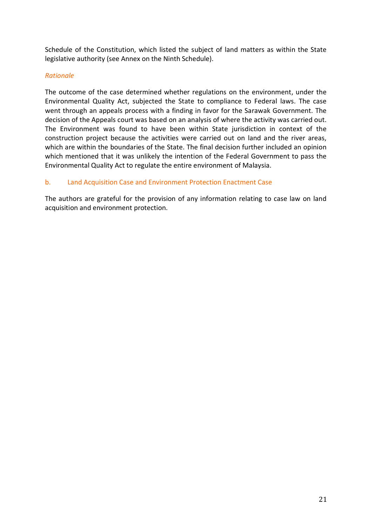Schedule of the Constitution, which listed the subject of land matters as within the State legislative authority (see Annex on the Ninth Schedule).

#### *Rationale*

The outcome of the case determined whether regulations on the environment, under the Environmental Quality Act, subjected the State to compliance to Federal laws. The case went through an appeals process with a finding in favor for the Sarawak Government. The decision of the Appeals court was based on an analysis of where the activity was carried out. The Environment was found to have been within State jurisdiction in context of the construction project because the activities were carried out on land and the river areas, which are within the boundaries of the State. The final decision further included an opinion which mentioned that it was unlikely the intention of the Federal Government to pass the Environmental Quality Act to regulate the entire environment of Malaysia.

#### b. Land Acquisition Case and Environment Protection Enactment Case

The authors are grateful for the provision of any information relating to case law on land acquisition and environment protection.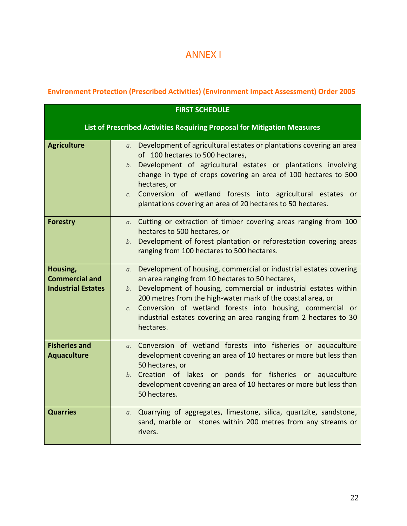## ANNEX I

## **Environment Protection (Prescribed Activities) (Environment Impact Assessment) Order 2005**

|                                                                | <b>FIRST SCHEDULE</b>                                                                                                                                                                                                                                                                                                                                                                                                                         |
|----------------------------------------------------------------|-----------------------------------------------------------------------------------------------------------------------------------------------------------------------------------------------------------------------------------------------------------------------------------------------------------------------------------------------------------------------------------------------------------------------------------------------|
|                                                                | List of Prescribed Activities Requiring Proposal for Mitigation Measures                                                                                                                                                                                                                                                                                                                                                                      |
| <b>Agriculture</b>                                             | Development of agricultural estates or plantations covering an area<br>$a_{\cdot}$<br>of 100 hectares to 500 hectares,<br>Development of agricultural estates or plantations involving<br>b.<br>change in type of crops covering an area of 100 hectares to 500<br>hectares, or<br>Conversion of wetland forests into agricultural estates<br>C <sub>1</sub><br><b>or</b><br>plantations covering an area of 20 hectares to 50 hectares.      |
| <b>Forestry</b>                                                | a. Cutting or extraction of timber covering areas ranging from 100<br>hectares to 500 hectares, or<br>Development of forest plantation or reforestation covering areas<br>b.<br>ranging from 100 hectares to 500 hectares.                                                                                                                                                                                                                    |
| Housing,<br><b>Commercial and</b><br><b>Industrial Estates</b> | Development of housing, commercial or industrial estates covering<br>$a_{\cdot}$<br>an area ranging from 10 hectares to 50 hectares,<br>Development of housing, commercial or industrial estates within<br>b.<br>200 metres from the high-water mark of the coastal area, or<br>Conversion of wetland forests into housing, commercial or<br>C <sub>1</sub><br>industrial estates covering an area ranging from 2 hectares to 30<br>hectares. |
| <b>Fisheries and</b><br><b>Aquaculture</b>                     | Conversion of wetland forests into fisheries or aquaculture<br>$a_{\cdot}$<br>development covering an area of 10 hectares or more but less than<br>50 hectares, or<br>Creation of lakes or ponds for fisheries or aquaculture<br>b.<br>development covering an area of 10 hectares or more but less than<br>50 hectares.                                                                                                                      |
| <b>Quarries</b>                                                | Quarrying of aggregates, limestone, silica, quartzite, sandstone,<br>а.<br>sand, marble or stones within 200 metres from any streams or<br>rivers.                                                                                                                                                                                                                                                                                            |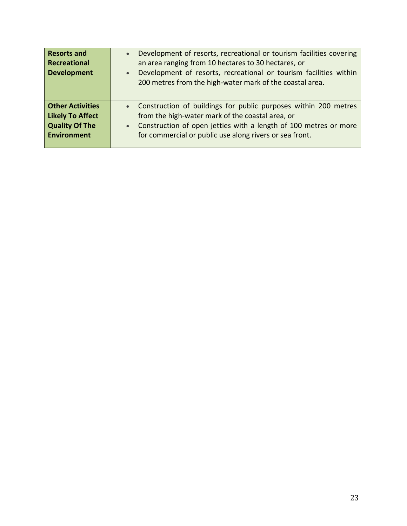| <b>Resorts and</b><br><b>Recreational</b><br><b>Development</b> | Development of resorts, recreational or tourism facilities covering<br>$\bullet$<br>an area ranging from 10 hectares to 30 hectares, or<br>Development of resorts, recreational or tourism facilities within<br>$\bullet$<br>200 metres from the high-water mark of the coastal area. |
|-----------------------------------------------------------------|---------------------------------------------------------------------------------------------------------------------------------------------------------------------------------------------------------------------------------------------------------------------------------------|
| <b>Other Activities</b>                                         | • Construction of buildings for public purposes within 200 metres                                                                                                                                                                                                                     |
| <b>Likely To Affect</b>                                         | from the high-water mark of the coastal area, or                                                                                                                                                                                                                                      |
| <b>Quality Of The</b>                                           | • Construction of open jetties with a length of 100 metres or more                                                                                                                                                                                                                    |
| <b>Environment</b>                                              | for commercial or public use along rivers or sea front.                                                                                                                                                                                                                               |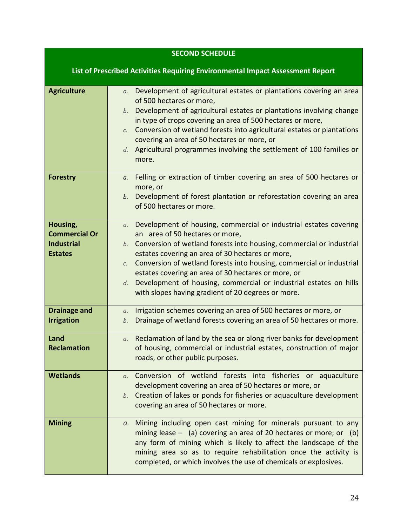|                                                                         | <b>SECOND SCHEDULE</b>                                                                                                                                                                                                                                                                                                                                                                                                                                                                                                       |
|-------------------------------------------------------------------------|------------------------------------------------------------------------------------------------------------------------------------------------------------------------------------------------------------------------------------------------------------------------------------------------------------------------------------------------------------------------------------------------------------------------------------------------------------------------------------------------------------------------------|
|                                                                         | List of Prescribed Activities Requiring Environmental Impact Assessment Report                                                                                                                                                                                                                                                                                                                                                                                                                                               |
| <b>Agriculture</b>                                                      | Development of agricultural estates or plantations covering an area<br>$a_{\cdot}$<br>of 500 hectares or more,<br>b. Development of agricultural estates or plantations involving change<br>in type of crops covering an area of 500 hectares or more,<br>Conversion of wetland forests into agricultural estates or plantations<br>C.<br>covering an area of 50 hectares or more, or<br>Agricultural programmes involving the settlement of 100 families or<br>d.<br>more.                                                  |
| <b>Forestry</b>                                                         | Felling or extraction of timber covering an area of 500 hectares or<br>а.<br>more, or<br>b. Development of forest plantation or reforestation covering an area<br>of 500 hectares or more.                                                                                                                                                                                                                                                                                                                                   |
| Housing,<br><b>Commercial Or</b><br><b>Industrial</b><br><b>Estates</b> | Development of housing, commercial or industrial estates covering<br>а.<br>an area of 50 hectares or more,<br>b. Conversion of wetland forests into housing, commercial or industrial<br>estates covering an area of 30 hectares or more,<br>Conversion of wetland forests into housing, commercial or industrial<br>$\mathcal{C}$ .<br>estates covering an area of 30 hectares or more, or<br>Development of housing, commercial or industrial estates on hills<br>d.<br>with slopes having gradient of 20 degrees or more. |
| <b>Drainage and</b><br><b>Irrigation</b>                                | Irrigation schemes covering an area of 500 hectares or more, or<br>а.<br>Drainage of wetland forests covering an area of 50 hectares or more.<br>b.                                                                                                                                                                                                                                                                                                                                                                          |
| Land<br><b>Reclamation</b>                                              | Reclamation of land by the sea or along river banks for development<br>а.<br>of housing, commercial or industrial estates, construction of major<br>roads, or other public purposes.                                                                                                                                                                                                                                                                                                                                         |
| <b>Wetlands</b>                                                         | Conversion of wetland forests into fisheries or aquaculture<br>$\alpha$ .<br>development covering an area of 50 hectares or more, or<br>Creation of lakes or ponds for fisheries or aquaculture development<br>b.<br>covering an area of 50 hectares or more.                                                                                                                                                                                                                                                                |
| <b>Mining</b>                                                           | Mining including open cast mining for minerals pursuant to any<br>a.<br>mining lease $-$ (a) covering an area of 20 hectares or more; or (b)<br>any form of mining which is likely to affect the landscape of the<br>mining area so as to require rehabilitation once the activity is<br>completed, or which involves the use of chemicals or explosives.                                                                                                                                                                    |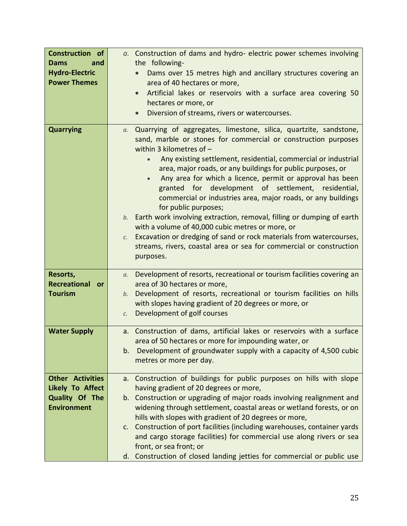| <b>Construction of</b><br><b>Dams</b><br>and<br><b>Hydro-Electric</b><br><b>Power Themes</b> | a. Construction of dams and hydro- electric power schemes involving<br>the following-<br>Dams over 15 metres high and ancillary structures covering an<br>area of 40 hectares or more,<br>Artificial lakes or reservoirs with a surface area covering 50<br>$\bullet$<br>hectares or more, or<br>Diversion of streams, rivers or watercourses.                                                                                                                                                                                                                                                                                                                                                                                                                                                                                    |
|----------------------------------------------------------------------------------------------|-----------------------------------------------------------------------------------------------------------------------------------------------------------------------------------------------------------------------------------------------------------------------------------------------------------------------------------------------------------------------------------------------------------------------------------------------------------------------------------------------------------------------------------------------------------------------------------------------------------------------------------------------------------------------------------------------------------------------------------------------------------------------------------------------------------------------------------|
| <b>Quarrying</b>                                                                             | $a.$ Quarrying of aggregates, limestone, silica, quartzite, sandstone,<br>sand, marble or stones for commercial or construction purposes<br>within 3 kilometres of $-$<br>Any existing settlement, residential, commercial or industrial<br>area, major roads, or any buildings for public purposes, or<br>Any area for which a licence, permit or approval has been<br>granted for development of settlement, residential,<br>commercial or industries area, major roads, or any buildings<br>for public purposes;<br>b. Earth work involving extraction, removal, filling or dumping of earth<br>with a volume of 40,000 cubic metres or more, or<br>Excavation or dredging of sand or rock materials from watercourses,<br>$\mathcal{C}$ .<br>streams, rivers, coastal area or sea for commercial or construction<br>purposes. |
| Resorts,<br><b>Recreational or</b><br><b>Tourism</b>                                         | Development of resorts, recreational or tourism facilities covering an<br>$a_{\cdot}$<br>area of 30 hectares or more,<br>b. Development of resorts, recreational or tourism facilities on hills<br>with slopes having gradient of 20 degrees or more, or<br>Development of golf courses<br>C <sub>1</sub>                                                                                                                                                                                                                                                                                                                                                                                                                                                                                                                         |
| <b>Water Supply</b>                                                                          | Construction of dams, artificial lakes or reservoirs with a surface<br>a.<br>area of 50 hectares or more for impounding water, or<br>Development of groundwater supply with a capacity of 4,500 cubic<br>b.<br>metres or more per day.                                                                                                                                                                                                                                                                                                                                                                                                                                                                                                                                                                                            |
| <b>Other Activities</b><br><b>Likely To Affect</b><br>Quality Of The<br><b>Environment</b>   | a. Construction of buildings for public purposes on hills with slope<br>having gradient of 20 degrees or more,<br>b. Construction or upgrading of major roads involving realignment and<br>widening through settlement, coastal areas or wetland forests, or on<br>hills with slopes with gradient of 20 degrees or more,<br>c. Construction of port facilities (including warehouses, container yards<br>and cargo storage facilities) for commercial use along rivers or sea<br>front, or sea front; or<br>d. Construction of closed landing jetties for commercial or public use                                                                                                                                                                                                                                               |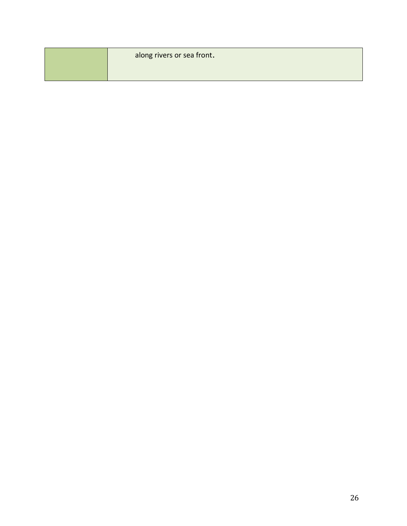| along rivers or sea front. |
|----------------------------|
|                            |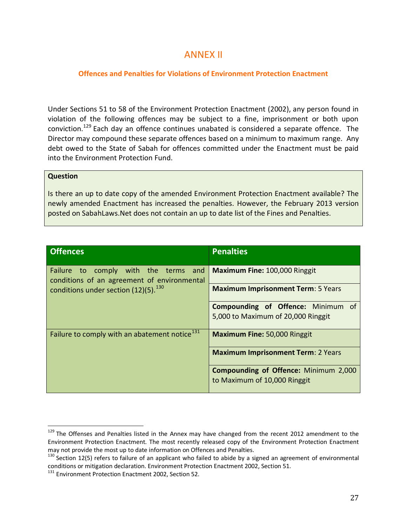## ANNEX II

#### **Offences and Penalties for Violations of Environment Protection Enactment**

Under Sections 51 to 58 of the Environment Protection Enactment (2002), any person found in violation of the following offences may be subject to a fine, imprisonment or both upon conviction.<sup>129</sup> Each day an offence continues unabated is considered a separate offence. The Director may compound these separate offences based on a minimum to maximum range. Any debt owed to the State of Sabah for offences committed under the Enactment must be paid into the Environment Protection Fund.

#### **Question**

l

Is there an up to date copy of the amended Environment Protection Enactment available? The newly amended Enactment has increased the penalties. However, the February 2013 version posted on SabahLaws.Net does not contain an up to date list of the Fines and Penalties.

| <b>Offences</b>                                                                     | <b>Penalties</b>                             |
|-------------------------------------------------------------------------------------|----------------------------------------------|
| Failure to comply with the terms and<br>conditions of an agreement of environmental | Maximum Fine: 100,000 Ringgit                |
| conditions under section (12)(5). <sup>130</sup>                                    | <b>Maximum Imprisonment Term: 5 Years</b>    |
|                                                                                     | <b>Compounding of Offence: Minimum of</b>    |
|                                                                                     | 5,000 to Maximum of 20,000 Ringgit           |
| Failure to comply with an abatement notice <sup>131</sup>                           | Maximum Fine: 50,000 Ringgit                 |
|                                                                                     | <b>Maximum Imprisonment Term: 2 Years</b>    |
|                                                                                     | <b>Compounding of Offence: Minimum 2,000</b> |
|                                                                                     | to Maximum of 10,000 Ringgit                 |

<sup>&</sup>lt;sup>129</sup> The Offenses and Penalties listed in the Annex may have changed from the recent 2012 amendment to the Environment Protection Enactment. The most recently released copy of the Environment Protection Enactment may not provide the most up to date information on Offences and Penalties.

 $130$  Section 12(5) refers to failure of an applicant who failed to abide by a signed an agreement of environmental conditions or mitigation declaration. Environment Protection Enactment 2002, Section 51.

<sup>&</sup>lt;sup>131</sup> Environment Protection Enactment 2002, Section 52.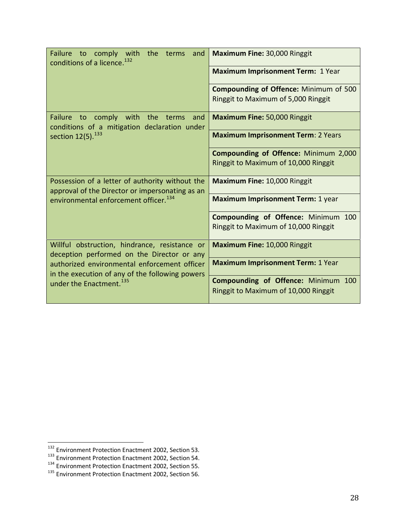| Failure to comply with the terms<br>and<br>conditions of a licence. <sup>132</sup>                 | Maximum Fine: 30,000 Ringgit                                                |
|----------------------------------------------------------------------------------------------------|-----------------------------------------------------------------------------|
|                                                                                                    | <b>Maximum Imprisonment Term: 1 Year</b>                                    |
|                                                                                                    | <b>Compounding of Offence: Minimum of 500</b>                               |
|                                                                                                    | Ringgit to Maximum of 5,000 Ringgit                                         |
| Failure to comply with the terms<br>and<br>conditions of a mitigation declaration under            | <b>Maximum Fine: 50,000 Ringgit</b>                                         |
| section $12(5)$ . $^{133}$                                                                         | <b>Maximum Imprisonment Term: 2 Years</b>                                   |
|                                                                                                    | Compounding of Offence: Minimum 2,000                                       |
|                                                                                                    | Ringgit to Maximum of 10,000 Ringgit                                        |
| Possession of a letter of authority without the<br>approval of the Director or impersonating as an | Maximum Fine: 10,000 Ringgit                                                |
| environmental enforcement officer. <sup>134</sup>                                                  | <b>Maximum Imprisonment Term: 1 year</b>                                    |
|                                                                                                    | Compounding of Offence: Minimum 100                                         |
|                                                                                                    | Ringgit to Maximum of 10,000 Ringgit                                        |
| Willful obstruction, hindrance, resistance or<br>deception performed on the Director or any        | Maximum Fine: 10,000 Ringgit                                                |
| authorized environmental enforcement officer<br>in the execution of any of the following powers    | <b>Maximum Imprisonment Term: 1 Year</b>                                    |
| under the Enactment. <sup>135</sup>                                                                | Compounding of Offence: Minimum 100<br>Ringgit to Maximum of 10,000 Ringgit |

 $\overline{a}$ 

<sup>&</sup>lt;sup>132</sup> Environment Protection Enactment 2002, Section 53.

<sup>&</sup>lt;sup>133</sup> Environment Protection Enactment 2002, Section 54.

<sup>&</sup>lt;sup>134</sup> Environment Protection Enactment 2002, Section 55.

<sup>&</sup>lt;sup>135</sup> Environment Protection Enactment 2002, Section 56.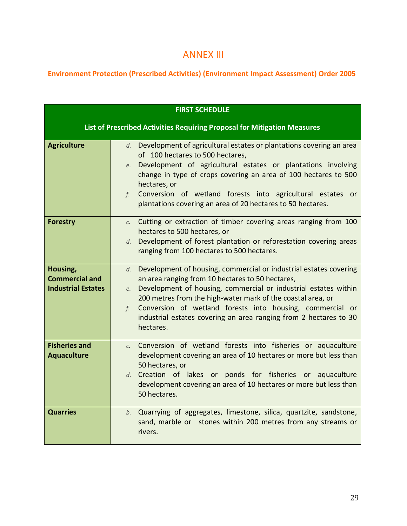## ANNEX III

**Environment Protection (Prescribed Activities) (Environment Impact Assessment) Order 2005**

|                                                                | <b>FIRST SCHEDULE</b>                                                                                                                                                                                                                                                                                                                                                                                                    |
|----------------------------------------------------------------|--------------------------------------------------------------------------------------------------------------------------------------------------------------------------------------------------------------------------------------------------------------------------------------------------------------------------------------------------------------------------------------------------------------------------|
|                                                                | List of Prescribed Activities Requiring Proposal for Mitigation Measures                                                                                                                                                                                                                                                                                                                                                 |
| <b>Agriculture</b>                                             | Development of agricultural estates or plantations covering an area<br>d.<br>of 100 hectares to 500 hectares,<br>Development of agricultural estates or plantations involving<br>e.<br>change in type of crops covering an area of 100 hectares to 500<br>hectares, or<br>Conversion of wetland forests into agricultural estates<br>f.<br><b>or</b><br>plantations covering an area of 20 hectares to 50 hectares.      |
| <b>Forestry</b>                                                | Cutting or extraction of timber covering areas ranging from 100<br>$\mathcal{C}$ .<br>hectares to 500 hectares, or<br>Development of forest plantation or reforestation covering areas<br>d.<br>ranging from 100 hectares to 500 hectares.                                                                                                                                                                               |
| Housing,<br><b>Commercial and</b><br><b>Industrial Estates</b> | Development of housing, commercial or industrial estates covering<br>d.<br>an area ranging from 10 hectares to 50 hectares,<br>Development of housing, commercial or industrial estates within<br>e.<br>200 metres from the high-water mark of the coastal area, or<br>Conversion of wetland forests into housing, commercial or<br>f.<br>industrial estates covering an area ranging from 2 hectares to 30<br>hectares. |
| <b>Fisheries and</b><br><b>Aquaculture</b>                     | Conversion of wetland forests into fisheries or aquaculture<br>$\mathcal{C}$ .<br>development covering an area of 10 hectares or more but less than<br>50 hectares, or<br>d. Creation of lakes or ponds for fisheries or aquaculture<br>development covering an area of 10 hectares or more but less than<br>50 hectares.                                                                                                |
| <b>Quarries</b>                                                | Quarrying of aggregates, limestone, silica, quartzite, sandstone,<br>b.<br>sand, marble or stones within 200 metres from any streams or<br>rivers.                                                                                                                                                                                                                                                                       |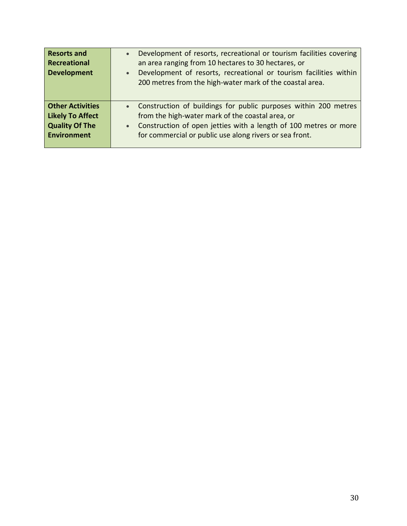| <b>Resorts and</b><br><b>Recreational</b><br><b>Development</b> | Development of resorts, recreational or tourism facilities covering<br>$\bullet$<br>an area ranging from 10 hectares to 30 hectares, or<br>Development of resorts, recreational or tourism facilities within<br>$\bullet$<br>200 metres from the high-water mark of the coastal area. |
|-----------------------------------------------------------------|---------------------------------------------------------------------------------------------------------------------------------------------------------------------------------------------------------------------------------------------------------------------------------------|
| <b>Other Activities</b>                                         | • Construction of buildings for public purposes within 200 metres                                                                                                                                                                                                                     |
| <b>Likely To Affect</b>                                         | from the high-water mark of the coastal area, or                                                                                                                                                                                                                                      |
| <b>Quality Of The</b>                                           | • Construction of open jetties with a length of 100 metres or more                                                                                                                                                                                                                    |
| <b>Environment</b>                                              | for commercial or public use along rivers or sea front.                                                                                                                                                                                                                               |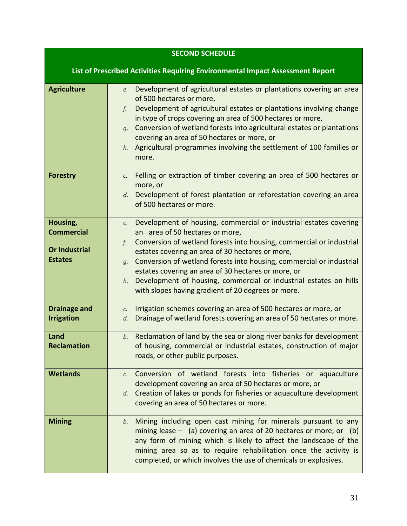|                                                                         | <b>SECOND SCHEDULE</b>                                                                                                                                                                                                                                                                                                                                                                                                                                                                                                   |
|-------------------------------------------------------------------------|--------------------------------------------------------------------------------------------------------------------------------------------------------------------------------------------------------------------------------------------------------------------------------------------------------------------------------------------------------------------------------------------------------------------------------------------------------------------------------------------------------------------------|
|                                                                         | List of Prescribed Activities Requiring Environmental Impact Assessment Report                                                                                                                                                                                                                                                                                                                                                                                                                                           |
| <b>Agriculture</b>                                                      | Development of agricultural estates or plantations covering an area<br>e.<br>of 500 hectares or more,<br>Development of agricultural estates or plantations involving change<br>f.<br>in type of crops covering an area of 500 hectares or more,<br>Conversion of wetland forests into agricultural estates or plantations<br>$q$ .<br>covering an area of 50 hectares or more, or<br>Agricultural programmes involving the settlement of 100 families or<br>h.<br>more.                                                 |
| <b>Forestry</b>                                                         | Felling or extraction of timber covering an area of 500 hectares or<br>$\mathcal{C}$ .<br>more, or<br>Development of forest plantation or reforestation covering an area<br>d.<br>of 500 hectares or more.                                                                                                                                                                                                                                                                                                               |
| Housing,<br><b>Commercial</b><br><b>Or Industrial</b><br><b>Estates</b> | Development of housing, commercial or industrial estates covering<br>e.<br>an area of 50 hectares or more,<br>Conversion of wetland forests into housing, commercial or industrial<br>f.<br>estates covering an area of 30 hectares or more,<br>Conversion of wetland forests into housing, commercial or industrial<br>$g$ .<br>estates covering an area of 30 hectares or more, or<br>Development of housing, commercial or industrial estates on hills<br>$h$ .<br>with slopes having gradient of 20 degrees or more. |
| <b>Drainage and</b><br><b>Irrigation</b>                                | Irrigation schemes covering an area of 500 hectares or more, or<br>C.<br>Drainage of wetland forests covering an area of 50 hectares or more.<br>d.                                                                                                                                                                                                                                                                                                                                                                      |
| Land<br><b>Reclamation</b>                                              | Reclamation of land by the sea or along river banks for development<br>b.<br>of housing, commercial or industrial estates, construction of major<br>roads, or other public purposes.                                                                                                                                                                                                                                                                                                                                     |
| <b>Wetlands</b>                                                         | Conversion of wetland forests into fisheries or aquaculture<br>$\mathcal{C}$ .<br>development covering an area of 50 hectares or more, or<br>$d.$ Creation of lakes or ponds for fisheries or aquaculture development<br>covering an area of 50 hectares or more.                                                                                                                                                                                                                                                        |
| <b>Mining</b>                                                           | Mining including open cast mining for minerals pursuant to any<br>b.<br>mining lease $-$ (a) covering an area of 20 hectares or more; or (b)<br>any form of mining which is likely to affect the landscape of the<br>mining area so as to require rehabilitation once the activity is<br>completed, or which involves the use of chemicals or explosives.                                                                                                                                                                |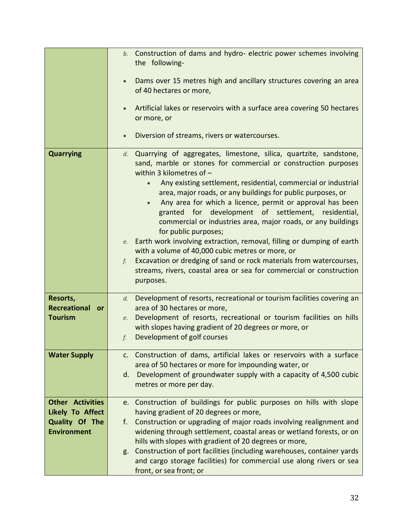|                                      | b. Construction of dams and hydro- electric power schemes involving<br>the following-                                                                                                                                                                                                                                                                                                                                                                                                                                                                                                                                                                                                                                                                                                                                        |
|--------------------------------------|------------------------------------------------------------------------------------------------------------------------------------------------------------------------------------------------------------------------------------------------------------------------------------------------------------------------------------------------------------------------------------------------------------------------------------------------------------------------------------------------------------------------------------------------------------------------------------------------------------------------------------------------------------------------------------------------------------------------------------------------------------------------------------------------------------------------------|
|                                      | Dams over 15 metres high and ancillary structures covering an area<br>of 40 hectares or more,                                                                                                                                                                                                                                                                                                                                                                                                                                                                                                                                                                                                                                                                                                                                |
|                                      | Artificial lakes or reservoirs with a surface area covering 50 hectares<br>or more, or                                                                                                                                                                                                                                                                                                                                                                                                                                                                                                                                                                                                                                                                                                                                       |
|                                      | Diversion of streams, rivers or watercourses.                                                                                                                                                                                                                                                                                                                                                                                                                                                                                                                                                                                                                                                                                                                                                                                |
| <b>Quarrying</b>                     | d. Quarrying of aggregates, limestone, silica, quartzite, sandstone,<br>sand, marble or stones for commercial or construction purposes<br>within 3 kilometres of -<br>Any existing settlement, residential, commercial or industrial<br>$\bullet$<br>area, major roads, or any buildings for public purposes, or<br>Any area for which a licence, permit or approval has been<br>granted for development of settlement, residential,<br>commercial or industries area, major roads, or any buildings<br>for public purposes;<br>e. Earth work involving extraction, removal, filling or dumping of earth<br>with a volume of 40,000 cubic metres or more, or<br>$f.$ Excavation or dredging of sand or rock materials from watercourses,<br>streams, rivers, coastal area or sea for commercial or construction<br>purposes. |
| Resorts,                             | d. Development of resorts, recreational or tourism facilities covering an                                                                                                                                                                                                                                                                                                                                                                                                                                                                                                                                                                                                                                                                                                                                                    |
| Recreational or<br><b>Tourism</b>    | area of 30 hectares or more,<br>e. Development of resorts, recreational or tourism facilities on hills                                                                                                                                                                                                                                                                                                                                                                                                                                                                                                                                                                                                                                                                                                                       |
|                                      | with slopes having gradient of 20 degrees or more, or                                                                                                                                                                                                                                                                                                                                                                                                                                                                                                                                                                                                                                                                                                                                                                        |
|                                      | Development of golf courses<br>f <sub>1</sub>                                                                                                                                                                                                                                                                                                                                                                                                                                                                                                                                                                                                                                                                                                                                                                                |
| <b>Water Supply</b>                  | c. Construction of dams, artificial lakes or reservoirs with a surface                                                                                                                                                                                                                                                                                                                                                                                                                                                                                                                                                                                                                                                                                                                                                       |
|                                      | area of 50 hectares or more for impounding water, or<br>d. Development of groundwater supply with a capacity of 4,500 cubic                                                                                                                                                                                                                                                                                                                                                                                                                                                                                                                                                                                                                                                                                                  |
|                                      | metres or more per day.                                                                                                                                                                                                                                                                                                                                                                                                                                                                                                                                                                                                                                                                                                                                                                                                      |
| <b>Other Activities</b>              | e. Construction of buildings for public purposes on hills with slope                                                                                                                                                                                                                                                                                                                                                                                                                                                                                                                                                                                                                                                                                                                                                         |
| <b>Likely To Affect</b>              | having gradient of 20 degrees or more,                                                                                                                                                                                                                                                                                                                                                                                                                                                                                                                                                                                                                                                                                                                                                                                       |
| Quality Of The<br><b>Environment</b> | Construction or upgrading of major roads involving realignment and<br>f.<br>widening through settlement, coastal areas or wetland forests, or on                                                                                                                                                                                                                                                                                                                                                                                                                                                                                                                                                                                                                                                                             |
|                                      | hills with slopes with gradient of 20 degrees or more,                                                                                                                                                                                                                                                                                                                                                                                                                                                                                                                                                                                                                                                                                                                                                                       |
|                                      | g. Construction of port facilities (including warehouses, container yards<br>and cargo storage facilities) for commercial use along rivers or sea<br>front, or sea front; or                                                                                                                                                                                                                                                                                                                                                                                                                                                                                                                                                                                                                                                 |